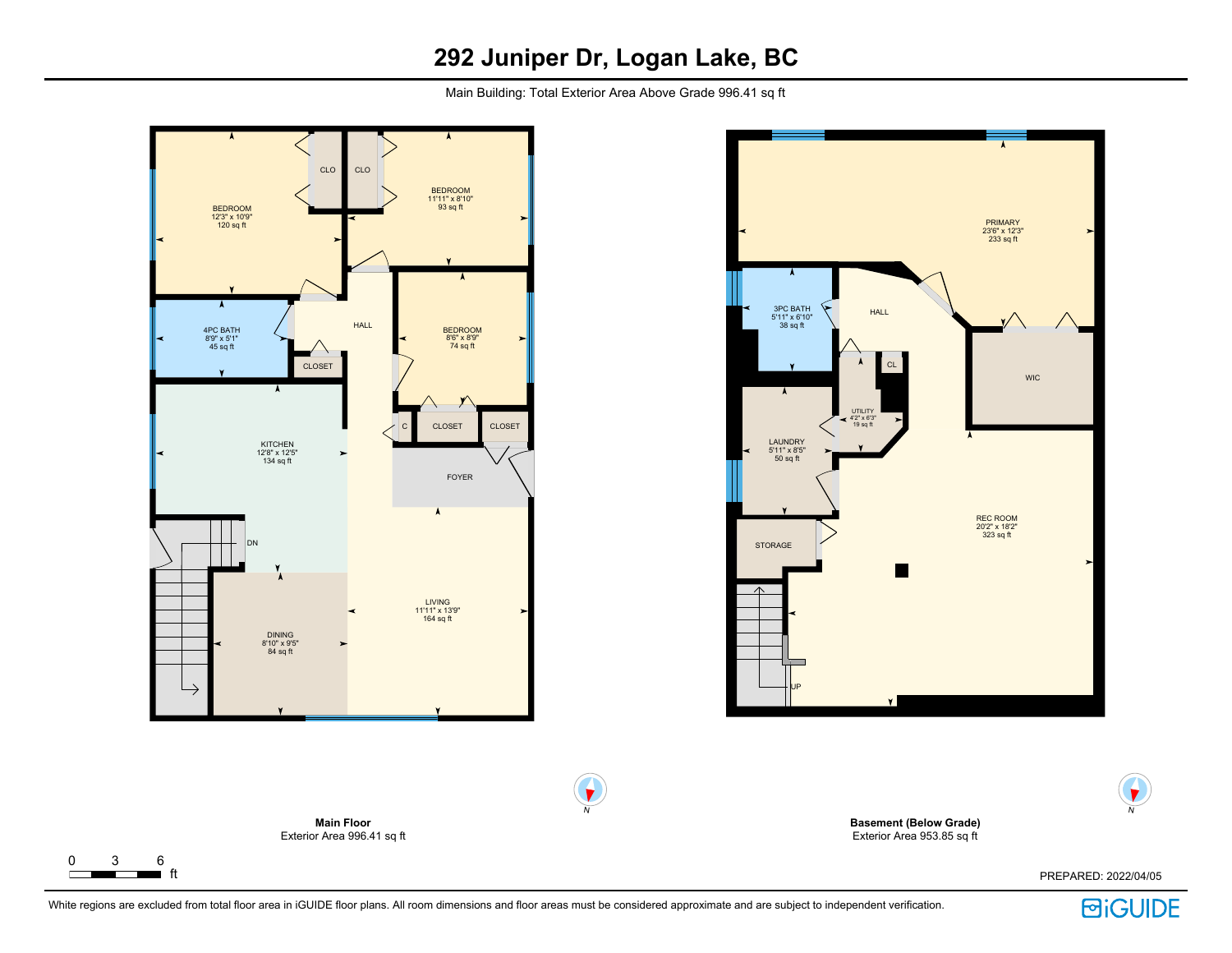# **292 Juniper Dr, Logan Lake, BC**

Main Building: Total Exterior Area Above Grade 996.41 sq ft



 $\Gamma$ 



**Basement (Below Grade)** Exterior Area 953.85 sq ft

PREPARED: 2022/04/05



N

 $\blacklozenge$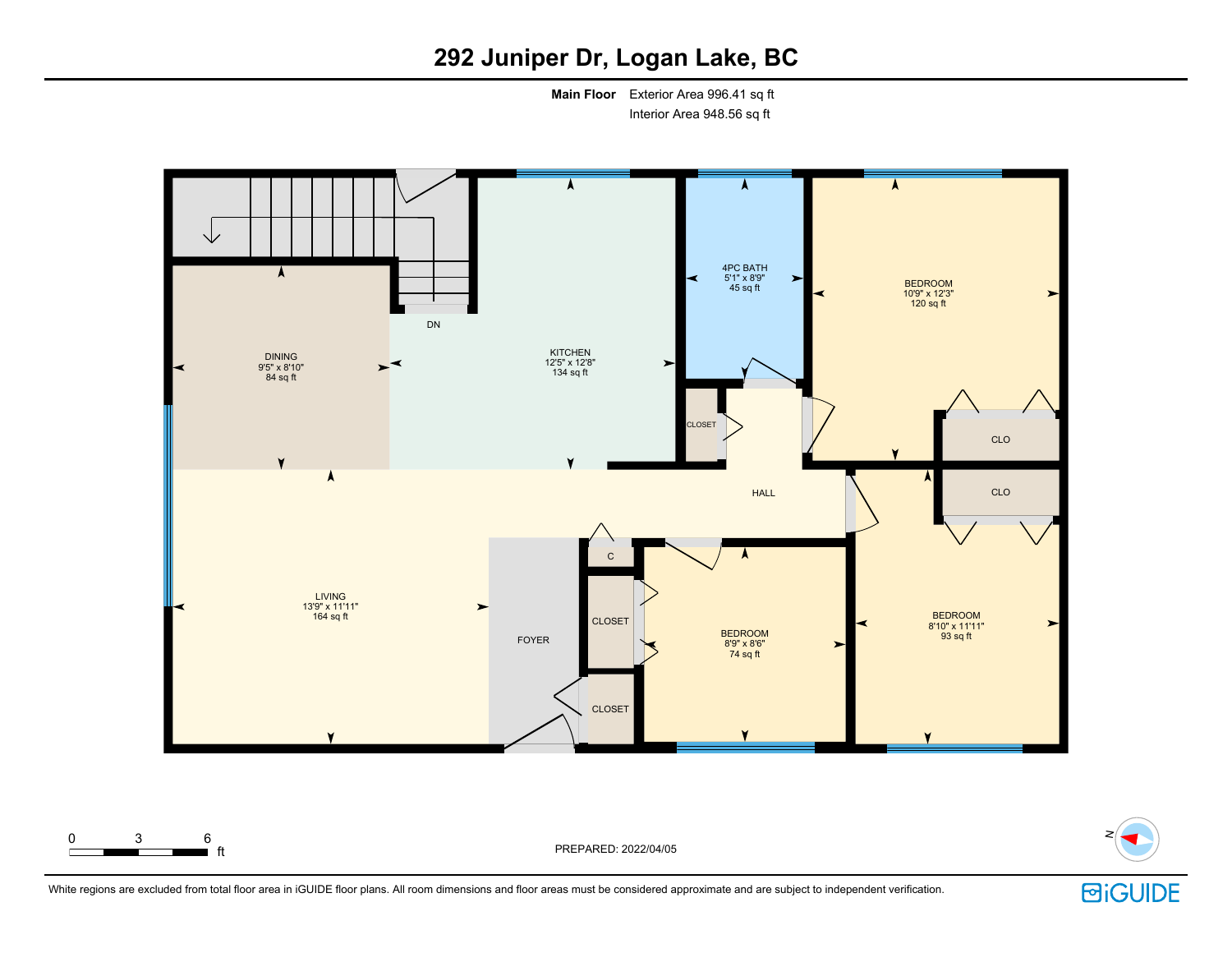# **292 Juniper Dr, Logan Lake, BC**

**Main Floor** Exterior Area 996.41 sq ft Interior Area 948.56 sq ft



0 3 6

 $\blacksquare$  ft  $\blacksquare$ 



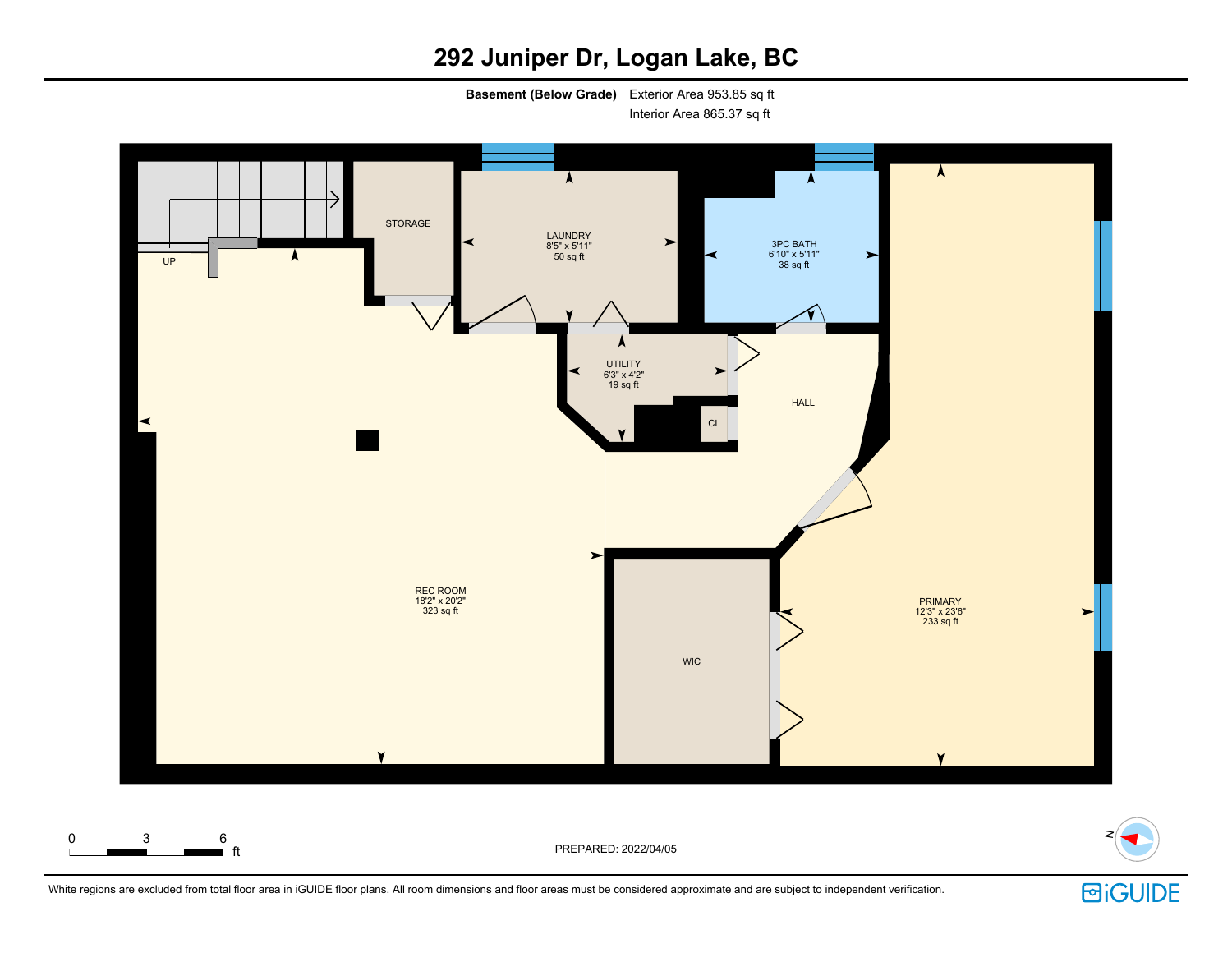# **292 Juniper Dr, Logan Lake, BC**

**Basement (Below Grade)** Exterior Area 953.85 sq ft

Interior Area 865.37 sq ft



White regions are excluded from total floor area in iGUIDE floor plans. All room dimensions and floor areas must be considered approximate and are subject to independent verification.

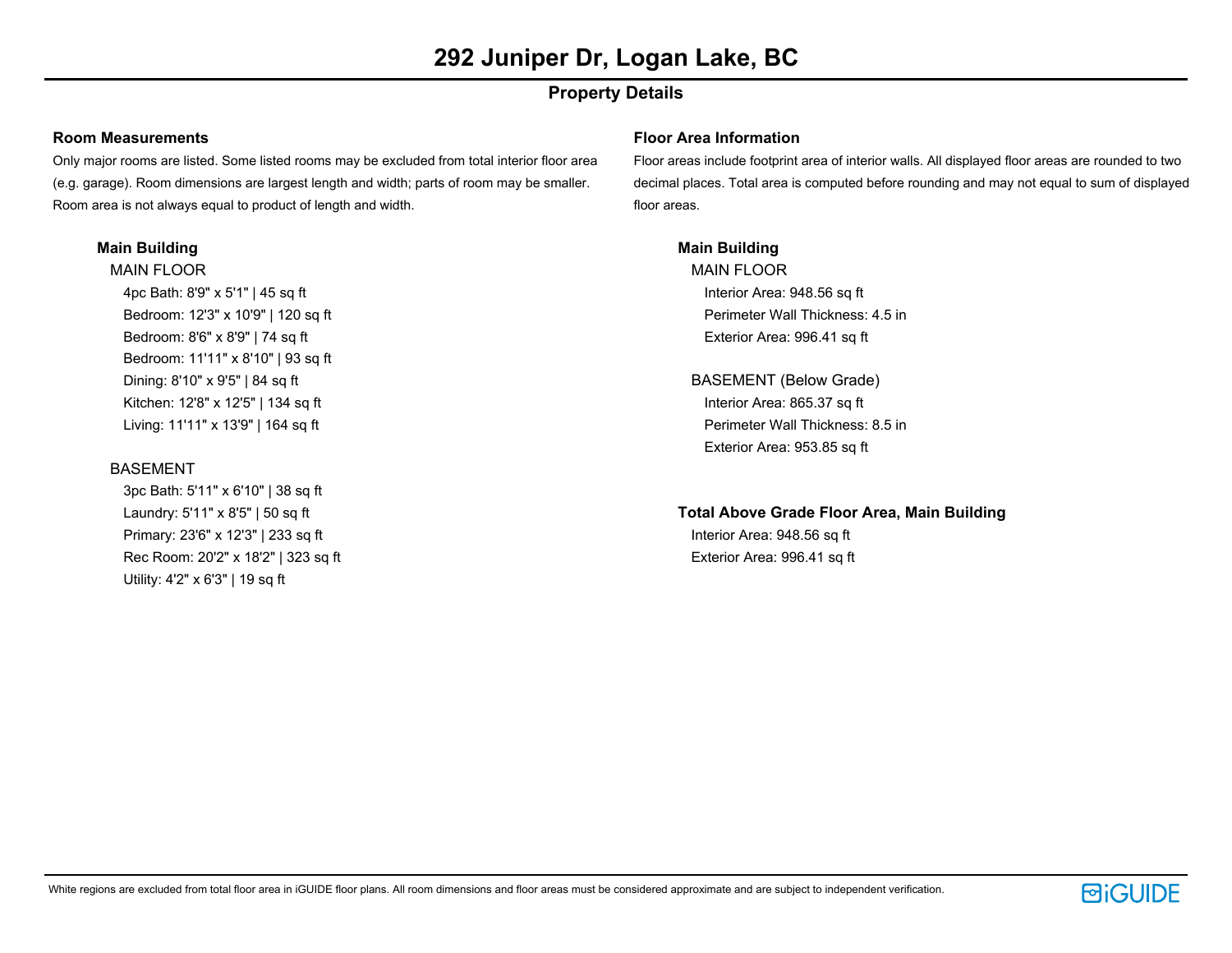# **Property Details**

## **Room Measurements**

Only major rooms are listed. Some listed rooms may be excluded from total interior floor area (e.g. garage). Room dimensions are largest length and width; parts of room may be smaller. Room area is not always equal to product of length and width.

## **Main Building**

MAIN FLOOR 4pc Bath: 8'9" x 5'1" | 45 sq ft Bedroom: 12'3" x 10'9" | 120 sq ft Bedroom: 8'6" x 8'9" | 74 sq ft Bedroom: 11'11" x 8'10" | 93 sq ft Dining: 8'10" x 9'5" | 84 sq ft Kitchen: 12'8" x 12'5" | 134 sq ft Living: 11'11" x 13'9" | 164 sq ft

## **BASEMENT**

3pc Bath: 5'11" x 6'10" | 38 sq ft Laundry: 5'11" x 8'5" | 50 sq ft Primary: 23'6" x 12'3" | 233 sq ft Rec Room: 20'2" x 18'2" | 323 sq ft Utility: 4'2" x 6'3" | 19 sq ft

### **Floor Area Information**

Floor areas include footprint area of interior walls. All displayed floor areas are rounded to two decimal places. Total area is computed before rounding and may not equal to sum of displayed floor areas.

# **Main Building**

MAIN FLOOR Interior Area: 948.56 sq ft Perimeter Wall Thickness: 4.5 in Exterior Area: 996.41 sq ft

BASEMENT (Below Grade) Interior Area: 865.37 sq ft Perimeter Wall Thickness: 8.5 in Exterior Area: 953.85 sq ft

**Total Above Grade Floor Area, Main Building** Interior Area: 948.56 sq ft Exterior Area: 996.41 sq ft